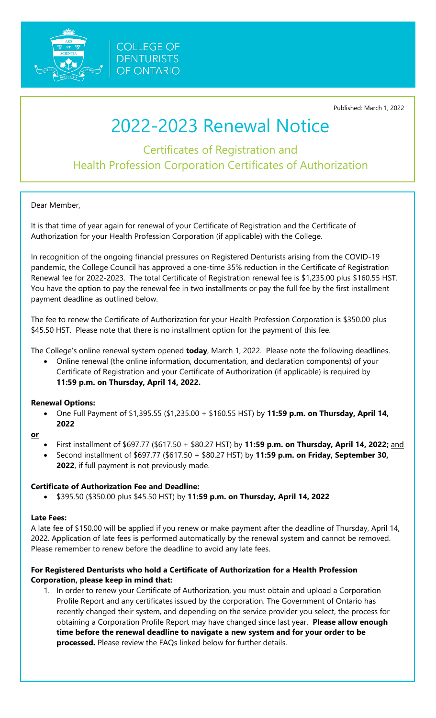

**COLLEGE OF DENTURISTS OF ONTARIO** 

Published: March 1, 2022

# 2022-2023 Renewal Notice

Certificates of Registration and Health Profession Corporation Certificates of Authorization

Dear Member,

It is that time of year again for renewal of your Certificate of Registration and the Certificate of Authorization for your Health Profession Corporation (if applicable) with the College.

In recognition of the ongoing financial pressures on Registered Denturists arising from the COVID-19 pandemic, the College Council has approved a one-time 35% reduction in the Certificate of Registration Renewal fee for 2022-2023. The total Certificate of Registration renewal fee is \$1,235.00 plus \$160.55 HST. You have the option to pay the renewal fee in two installments or pay the full fee by the first installment payment deadline as outlined below.

The fee to renew the Certificate of Authorization for your Health Profession Corporation is \$350.00 plus \$45.50 HST. Please note that there is no installment option for the payment of this fee.

The College's online renewal system opened **today**, March 1, 2022. Please note the following deadlines.

• Online renewal (the online information, documentation, and declaration components) of your Certificate of Registration and your Certificate of Authorization (if applicable) is required by **11:59 p.m. on Thursday, April 14, 2022.** 

### **Renewal Options:**

• One Full Payment of \$1,395.55 (\$1,235.00 + \$160.55 HST) by **11:59 p.m. on Thursday, April 14, 2022**

**or**

- First installment of \$697.77 (\$617.50 + \$80.27 HST) by **11:59 p.m. on Thursday, April 14, 2022;** and
- Second installment of \$697.77 (\$617.50 + \$80.27 HST) by **11:59 p.m. on Friday, September 30, 2022**, if full payment is not previously made.

### **Certificate of Authorization Fee and Deadline:**

• \$395.50 (\$350.00 plus \$45.50 HST) by **11:59 p.m. on Thursday, April 14, 2022**

### **Late Fees:**

A late fee of \$150.00 will be applied if you renew or make payment after the deadline of Thursday, April 14, 2022. Application of late fees is performed automatically by the renewal system and cannot be removed. Please remember to renew before the deadline to avoid any late fees.

### **For Registered Denturists who hold a Certificate of Authorization for a Health Profession Corporation, please keep in mind that:**

1. In order to renew your Certificate of Authorization, you must obtain and upload a Corporation Profile Report and any certificates issued by the corporation. The Government of Ontario has recently changed their system, and depending on the service provider you select, the process for obtaining a Corporation Profile Report may have changed since last year. **Please allow enough time before the renewal deadline to navigate a new system and for your order to be processed.** Please review the FAQs linked below for further details.